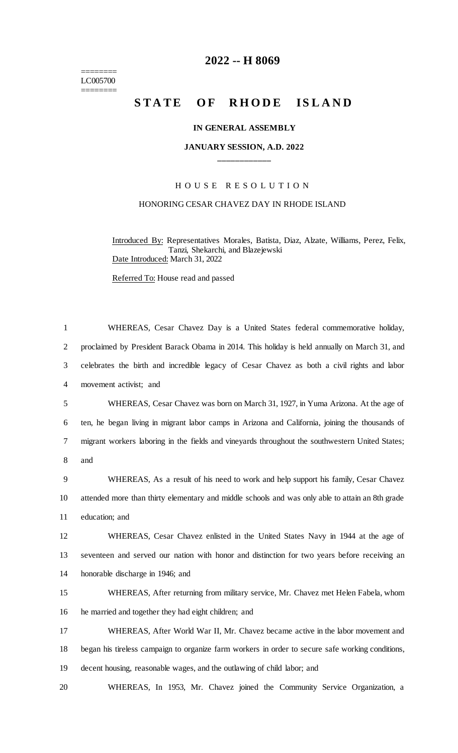======== LC005700 ========

## **2022 -- H 8069**

# STATE OF RHODE ISLAND

#### **IN GENERAL ASSEMBLY**

#### **JANUARY SESSION, A.D. 2022 \_\_\_\_\_\_\_\_\_\_\_\_**

### H O U S E R E S O L U T I O N

#### HONORING CESAR CHAVEZ DAY IN RHODE ISLAND

Introduced By: Representatives Morales, Batista, Diaz, Alzate, Williams, Perez, Felix, Tanzi, Shekarchi, and Blazejewski Date Introduced: March 31, 2022

Referred To: House read and passed

| $\mathbf{1}$   | WHEREAS, Cesar Chavez Day is a United States federal commemorative holiday,                      |
|----------------|--------------------------------------------------------------------------------------------------|
| $\overline{2}$ | proclaimed by President Barack Obama in 2014. This holiday is held annually on March 31, and     |
| 3              | celebrates the birth and incredible legacy of Cesar Chavez as both a civil rights and labor      |
| $\overline{4}$ | movement activist; and                                                                           |
| 5              | WHEREAS, Cesar Chavez was born on March 31, 1927, in Yuma Arizona. At the age of                 |
| 6              | ten, he began living in migrant labor camps in Arizona and California, joining the thousands of  |
| 7              | migrant workers laboring in the fields and vineyards throughout the southwestern United States;  |
| 8              | and                                                                                              |
| 9              | WHEREAS, As a result of his need to work and help support his family, Cesar Chavez               |
| 10             | attended more than thirty elementary and middle schools and was only able to attain an 8th grade |
| 11             | education; and                                                                                   |
| 12             | WHEREAS, Cesar Chavez enlisted in the United States Navy in 1944 at the age of                   |
| 13             | seventeen and served our nation with honor and distinction for two years before receiving an     |
| 14             | honorable discharge in 1946; and                                                                 |
| 15             | WHEREAS, After returning from military service, Mr. Chavez met Helen Fabela, whom                |
| 16             | he married and together they had eight children; and                                             |
| 17             | WHEREAS, After World War II, Mr. Chavez became active in the labor movement and                  |
| 18             | began his tireless campaign to organize farm workers in order to secure safe working conditions, |
| 19             | decent housing, reasonable wages, and the outlawing of child labor; and                          |
| 20             | WHEREAS, In 1953, Mr. Chavez joined the Community Service Organization, a                        |